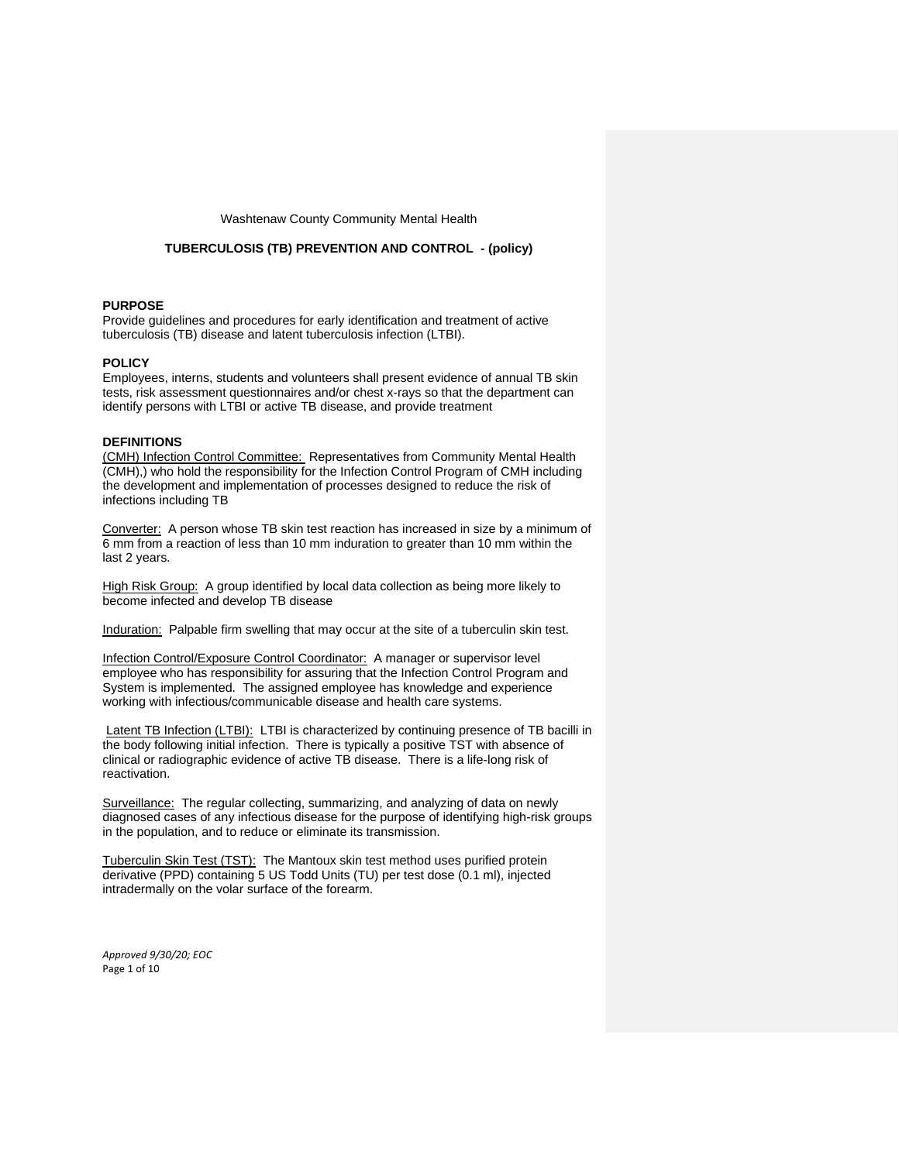Washtenaw County Community Mental Health

### **TUBERCULOSIS (TB) PREVENTION AND CONTROL - (policy)**

#### **PURPOSE**

Provide guidelines and procedures for early identification and treatment of active tuberculosis (TB) disease and latent tuberculosis infection (LTBI).

### **POLICY**

Employees, interns, students and volunteers shall present evidence of annual TB skin tests, risk assessment questionnaires and/or chest x-rays so that the department can identify persons with LTBI or active TB disease, and provide treatment

### **DEFINITIONS**

(CMH) Infection Control Committee: Representatives from Community Mental Health (CMH),) who hold the responsibility for the Infection Control Program of CMH including the development and implementation of processes designed to reduce the risk of infections including TB

Converter:A person whose TB skin test reaction has increased in size by a minimum of 6 mm from a reaction of less than 10 mm induration to greater than 10 mm within the last 2 years.

High Risk Group:A group identified by local data collection as being more likely to become infected and develop TB disease

Induration: Palpable firm swelling that may occur at the site of a tuberculin skin test.

Infection Control/Exposure Control Coordinator:A manager or supervisor level employee who has responsibility for assuring that the Infection Control Program and System is implemented. The assigned employee has knowledge and experience working with infectious/communicable disease and health care systems.

Latent TB Infection (LTBI):LTBI is characterized by continuing presence of TB bacilli in the body following initial infection. There is typically a positive TST with absence of clinical or radiographic evidence of active TB disease. There is a life-long risk of reactivation.

Surveillance:The regular collecting, summarizing, and analyzing of data on newly diagnosed cases of any infectious disease for the purpose of identifying high-risk groups in the population, and to reduce or eliminate its transmission.

Tuberculin Skin Test (TST):The Mantoux skin test method uses purified protein derivative (PPD) containing 5 US Todd Units (TU) per test dose (0.1 ml), injected intradermally on the volar surface of the forearm.

*Approved 9/30/20; EOC* Page 1 of 10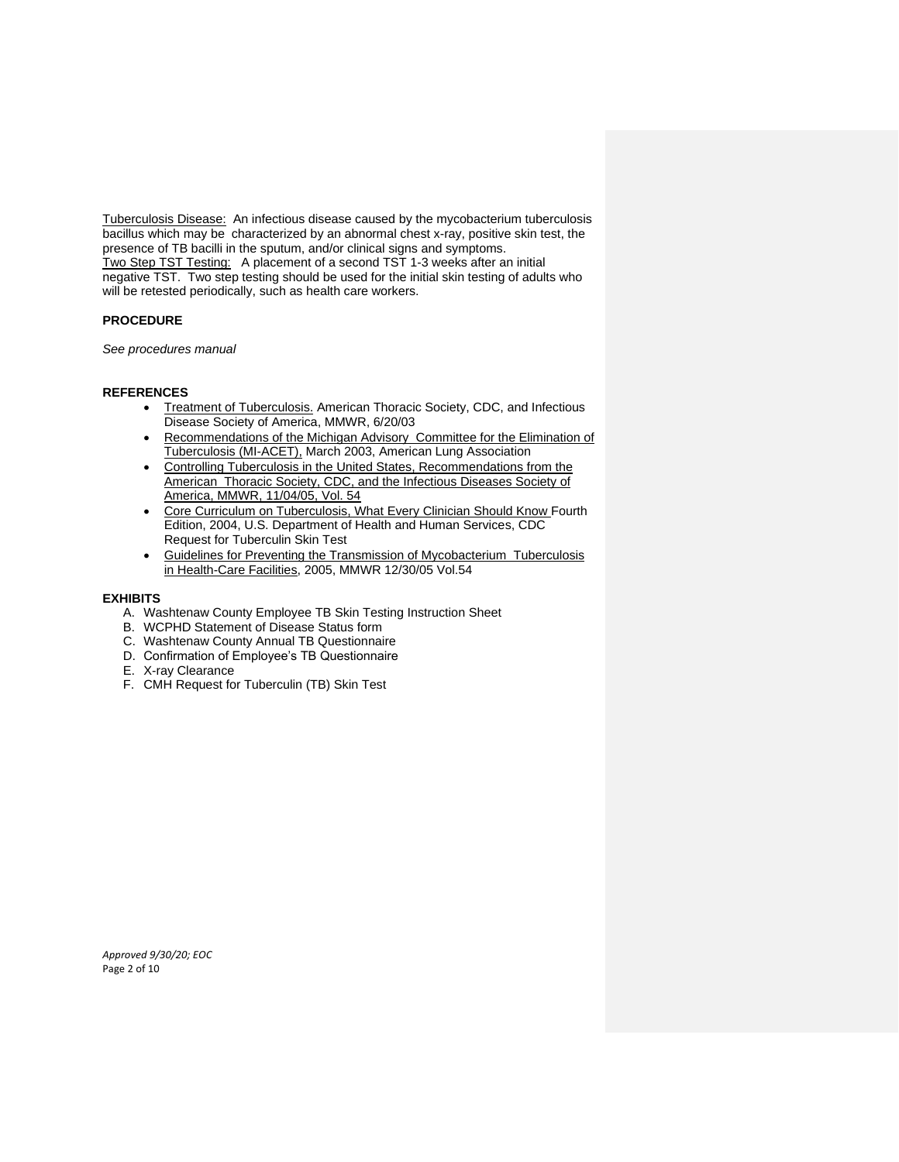Tuberculosis Disease:An infectious disease caused by the mycobacterium tuberculosis bacillus which may be characterized by an abnormal chest x-ray, positive skin test, the presence of TB bacilli in the sputum, and/or clinical signs and symptoms. Two Step TST Testing:A placement of a second TST 1-3 weeks after an initial negative TST. Two step testing should be used for the initial skin testing of adults who will be retested periodically, such as health care workers.

## **PROCEDURE**

*See procedures manual*

### **REFERENCES**

- Treatment of Tuberculosis. American Thoracic Society, CDC, and Infectious Disease Society of America, MMWR, 6/20/03
- Recommendations of the Michigan Advisory Committee for the Elimination of Tuberculosis (MI-ACET), March 2003, American Lung Association
- Controlling Tuberculosis in the United States, Recommendations from the American Thoracic Society, CDC, and the Infectious Diseases Society of America, MMWR, 11/04/05, Vol. 54
- Core Curriculum on Tuberculosis, What Every Clinician Should Know Fourth Edition, 2004, U.S. Department of Health and Human Services, CDC Request for Tuberculin Skin Test
- Guidelines for Preventing the Transmission of Mycobacterium Tuberculosis in Health-Care Facilities, 2005, MMWR 12/30/05 Vol.54

### **EXHIBITS**

- A. Washtenaw County Employee TB Skin Testing Instruction Sheet
- B. WCPHD Statement of Disease Status form
- C. Washtenaw County Annual TB Questionnaire
- D. Confirmation of Employee's TB Questionnaire
- E. X-ray Clearance
- F. CMH Request for Tuberculin (TB) Skin Test

*Approved 9/30/20; EOC* Page 2 of 10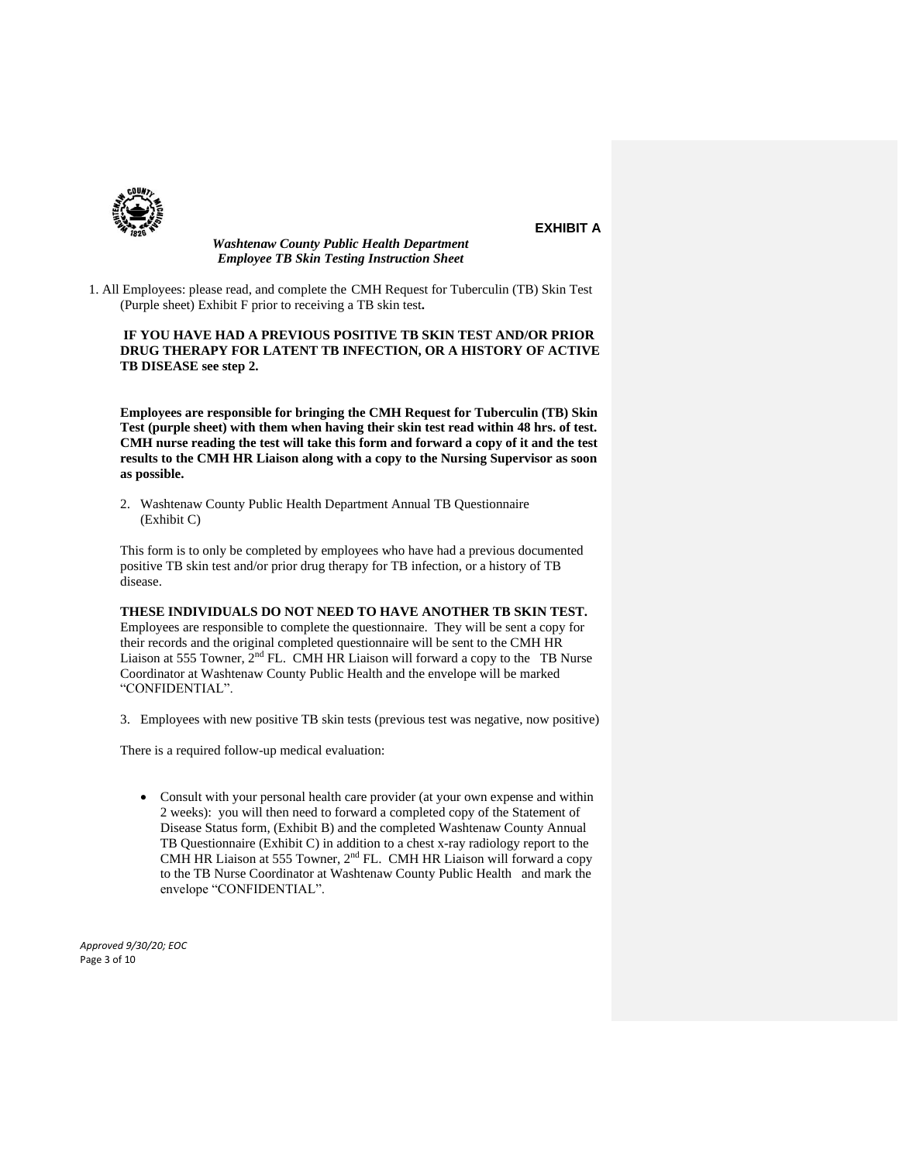

**EXHIBIT A**

## *Washtenaw County Public Health Department Employee TB Skin Testing Instruction Sheet*

1. All Employees: please read, and complete the CMH Request for Tuberculin (TB) Skin Test (Purple sheet) Exhibit F prior to receiving a TB skin test**.** 

## **IF YOU HAVE HAD A PREVIOUS POSITIVE TB SKIN TEST AND/OR PRIOR DRUG THERAPY FOR LATENT TB INFECTION, OR A HISTORY OF ACTIVE TB DISEASE see step 2.**

**Employees are responsible for bringing the CMH Request for Tuberculin (TB) Skin Test (purple sheet) with them when having their skin test read within 48 hrs. of test. CMH nurse reading the test will take this form and forward a copy of it and the test results to the CMH HR Liaison along with a copy to the Nursing Supervisor as soon as possible.**

2. Washtenaw County Public Health Department Annual TB Questionnaire (Exhibit C)

This form is to only be completed by employees who have had a previous documented positive TB skin test and/or prior drug therapy for TB infection, or a history of TB disease.

**THESE INDIVIDUALS DO NOT NEED TO HAVE ANOTHER TB SKIN TEST.** Employees are responsible to complete the questionnaire. They will be sent a copy for their records and the original completed questionnaire will be sent to the CMH HR Liaison at 555 Towner,  $2<sup>nd</sup> FL$ . CMH HR Liaison will forward a copy to the TB Nurse Coordinator at Washtenaw County Public Health and the envelope will be marked "CONFIDENTIAL".

3. Employees with new positive TB skin tests (previous test was negative, now positive)

There is a required follow-up medical evaluation:

• Consult with your personal health care provider (at your own expense and within 2 weeks): you will then need to forward a completed copy of the Statement of Disease Status form, (Exhibit B) and the completed Washtenaw County Annual TB Questionnaire (Exhibit C) in addition to a chest x-ray radiology report to the CMH HR Liaison at 555 Towner, 2<sup>nd</sup> FL. CMH HR Liaison will forward a copy to the TB Nurse Coordinator at Washtenaw County Public Health and mark the envelope "CONFIDENTIAL".

*Approved 9/30/20; EOC* Page 3 of 10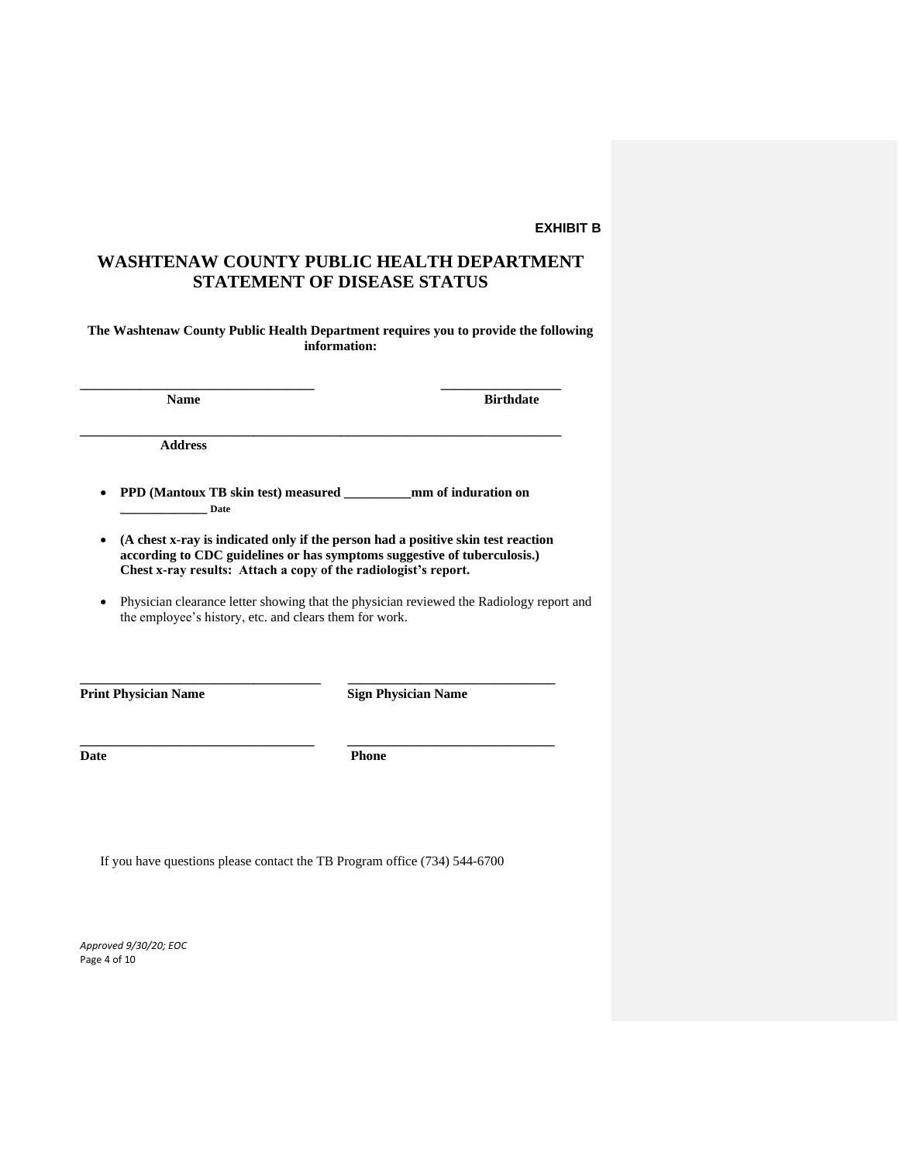# **EXHIBIT B**

# **WASHTENAW COUNTY PUBLIC HEALTH DEPARTMENT STATEMENT OF DISEASE STATUS**

### **The Washtenaw County Public Health Department requires you to provide the following information:**

| <b>Name</b>                                                          | <b>Birthdate</b>                                                                                                                                             |
|----------------------------------------------------------------------|--------------------------------------------------------------------------------------------------------------------------------------------------------------|
| <b>Address</b>                                                       |                                                                                                                                                              |
| Date                                                                 |                                                                                                                                                              |
| ٠<br>Chest x-ray results: Attach a copy of the radiologist's report. | (A chest x-ray is indicated only if the person had a positive skin test reaction<br>according to CDC guidelines or has symptoms suggestive of tuberculosis.) |
| the employee's history, etc. and clears them for work.               | Physician clearance letter showing that the physician reviewed the Radiology report and                                                                      |
| <b>Print Physician Name</b>                                          | <b>Sign Physician Name</b>                                                                                                                                   |
| <b>Date</b>                                                          | <b>Phone</b>                                                                                                                                                 |

If you have questions please contact the TB Program office (734) 544-6700

*Approved 9/30/20; EOC* Page 4 of 10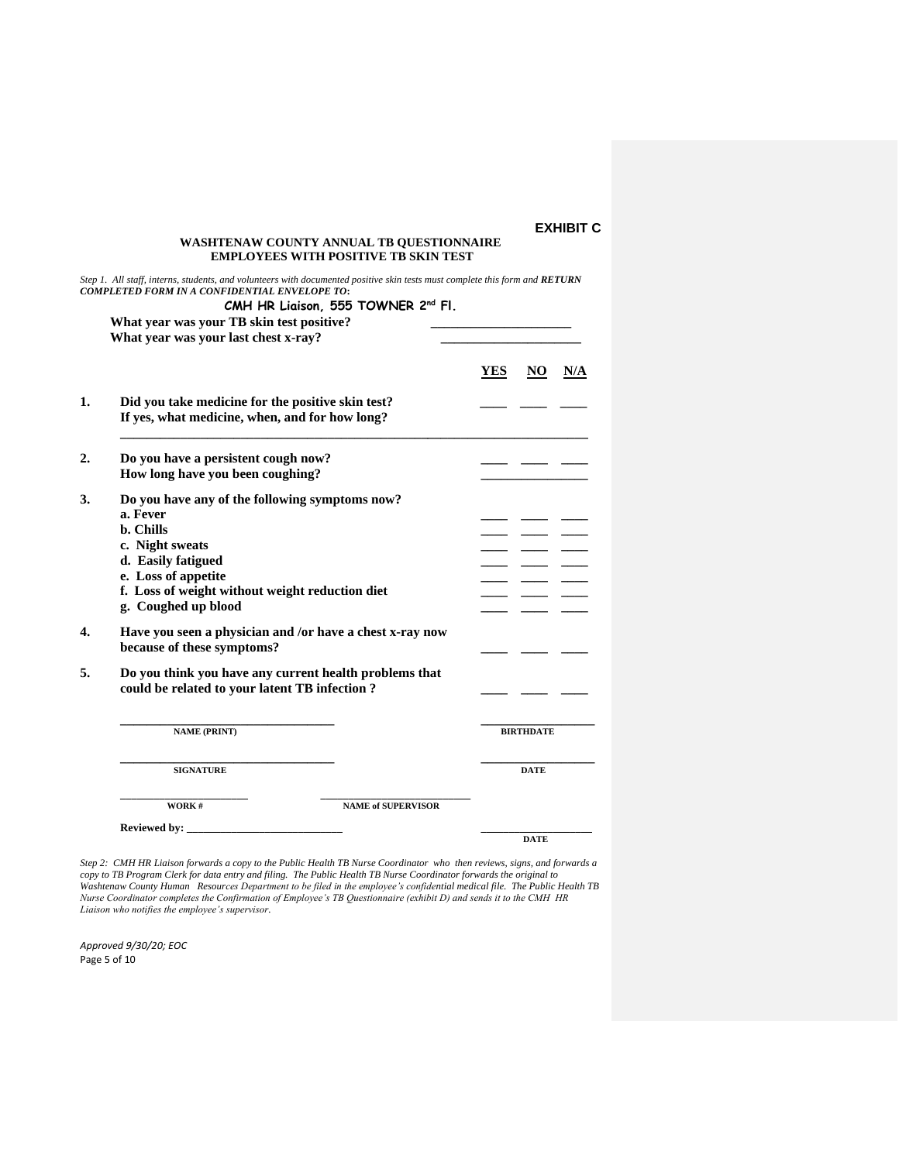# **EXHIBIT C**

### **WASHTENAW COUNTY ANNUAL TB QUESTIONNAIRE EMPLOYEES WITH POSITIVE TB SKIN TEST**

| What year was your TB skin test positive?<br>What year was your last chest x-ray?                                                                                                                                        | CMH HR Liaison, 555 TOWNER 2 <sup>nd</sup> FI. |            |                            |     |
|--------------------------------------------------------------------------------------------------------------------------------------------------------------------------------------------------------------------------|------------------------------------------------|------------|----------------------------|-----|
|                                                                                                                                                                                                                          |                                                | <b>YES</b> | NO.                        | N/A |
| Did you take medicine for the positive skin test?<br>If yes, what medicine, when, and for how long?                                                                                                                      |                                                |            |                            |     |
| Do you have a persistent cough now?<br>How long have you been coughing?                                                                                                                                                  |                                                |            |                            |     |
| Do you have any of the following symptoms now?<br>a. Fever<br><b>b.</b> Chills<br>c. Night sweats<br>d. Easily fatigued<br>e. Loss of appetite<br>f. Loss of weight without weight reduction diet<br>g. Coughed up blood |                                                |            | the company of the company |     |
| Have you seen a physician and /or have a chest x-ray now<br>because of these symptoms?                                                                                                                                   |                                                |            |                            |     |
| Do you think you have any current health problems that<br>could be related to your latent TB infection ?                                                                                                                 |                                                |            |                            |     |
| <b>NAME (PRINT)</b>                                                                                                                                                                                                      |                                                |            | <b>BIRTHDATE</b>           |     |
| <b>SIGNATURE</b>                                                                                                                                                                                                         |                                                |            | <b>DATE</b>                |     |
| WORK #                                                                                                                                                                                                                   | <b>NAME of SUPERVISOR</b>                      |            |                            |     |
|                                                                                                                                                                                                                          |                                                |            | <b>DATE</b>                |     |

*Step 2: CMH HR Liaison forwards a copy to the Public Health TB Nurse Coordinator who then reviews, signs, and forwards a*  copy to TB Program Clerk for data entry and filing. The Public Health TB Nurse Coordinator forwards the original to<br>Washtenaw County Human Resources Department to be filed in the employee's confidential medical file. T *Nurse Coordinator completes the Confirmation of Employee's TB Questionnaire (exhibit D) and sends it to the CMH HR Liaison who notifies the employee's supervisor.*

*Approved 9/30/20; EOC* Page 5 of 10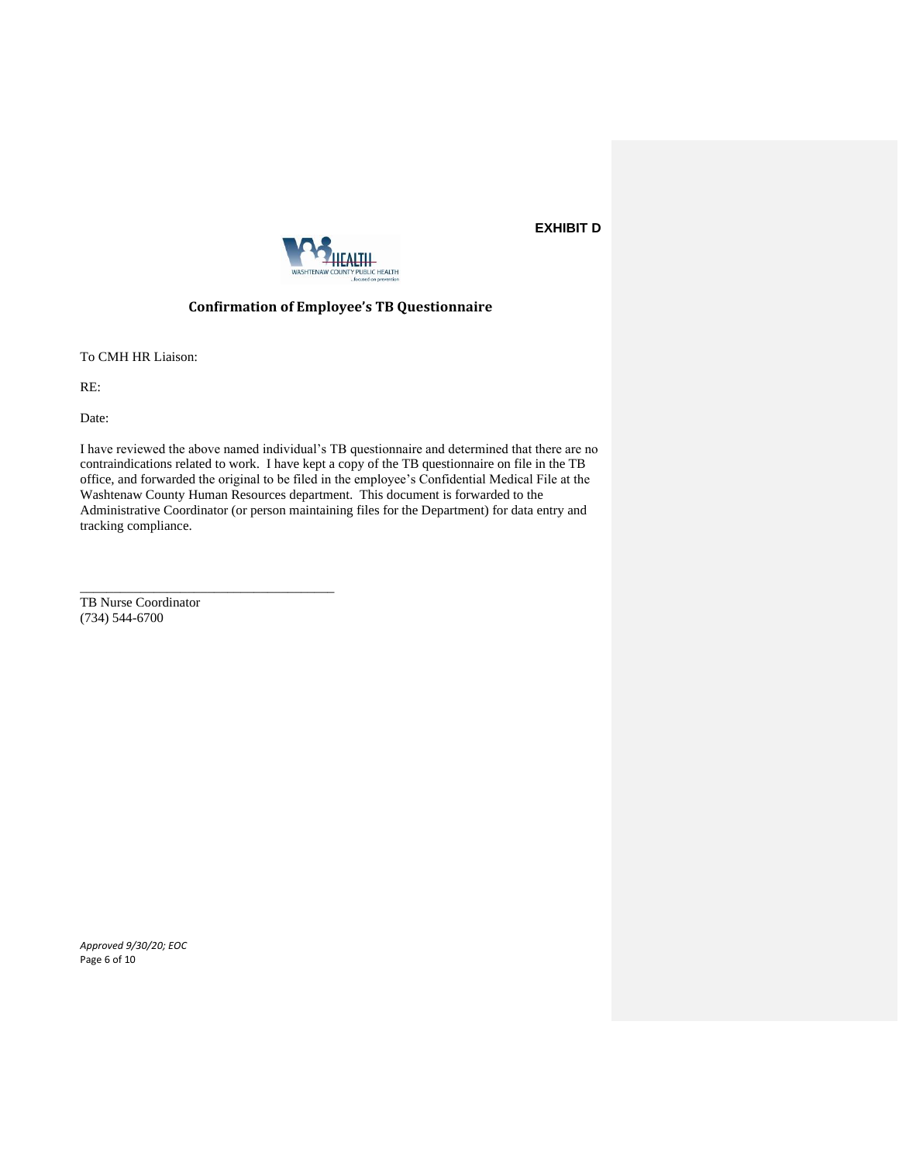

# **EXHIBIT D**

# **Confirmation of Employee's TB Questionnaire**

To CMH HR Liaison:

RE:

Date:

I have reviewed the above named individual's TB questionnaire and determined that there are no contraindications related to work. I have kept a copy of the TB questionnaire on file in the TB office, and forwarded the original to be filed in the employee's Confidential Medical File at the Washtenaw County Human Resources department. This document is forwarded to the Administrative Coordinator (or person maintaining files for the Department) for data entry and tracking compliance.

TB Nurse Coordinator (734) 544-6700

\_\_\_\_\_\_\_\_\_\_\_\_\_\_\_\_\_\_\_\_\_\_\_\_\_\_\_\_\_\_\_\_\_\_\_\_\_\_

*Approved 9/30/20; EOC* Page 6 of 10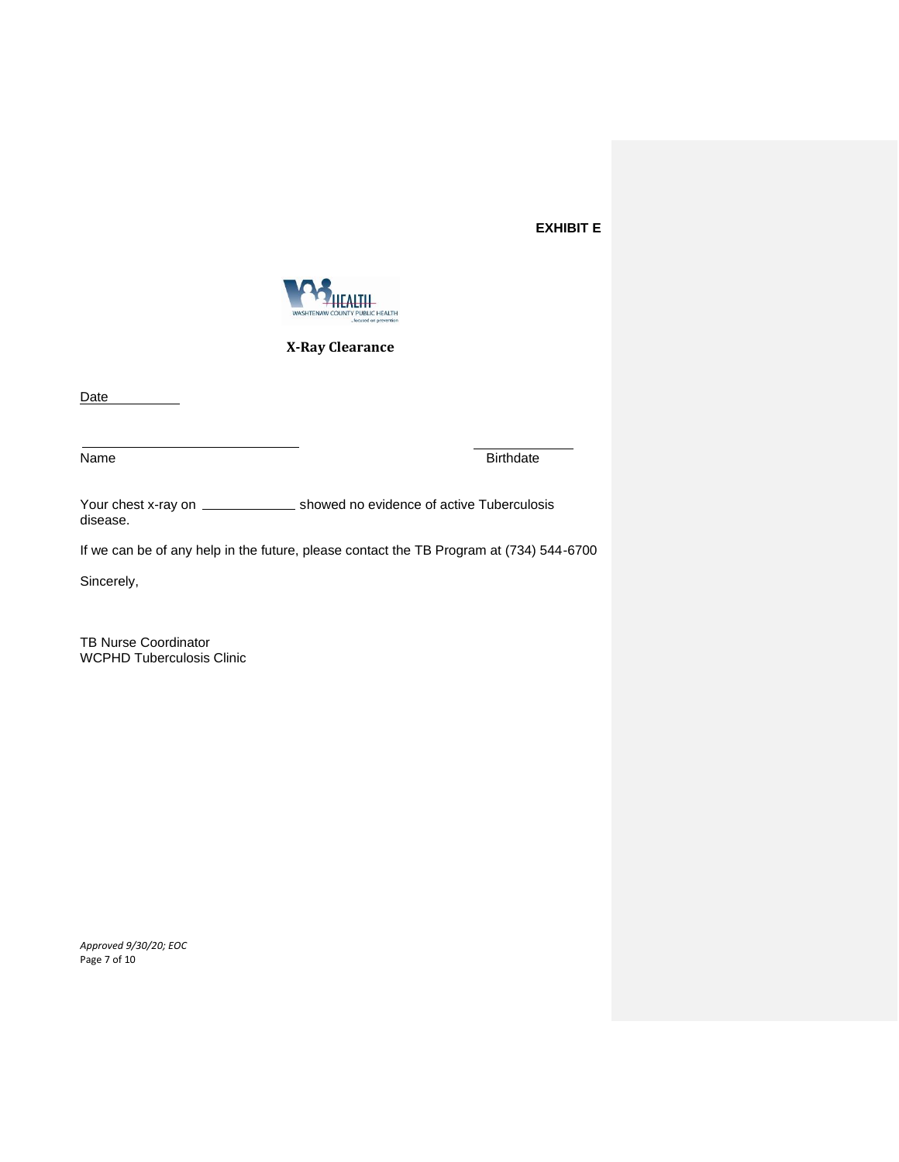# **EXHIBIT E**



**X-Ray Clearance**

**Date** 

Name Birthdate

Your chest x-ray on \_\_\_\_\_\_\_\_\_\_\_\_\_\_\_ showed no evidence of active Tuberculosis disease.

If we can be of any help in the future, please contact the TB Program at (734) 544-6700

Sincerely,

TB Nurse Coordinator WCPHD Tuberculosis Clinic

*Approved 9/30/20; EOC* Page 7 of 10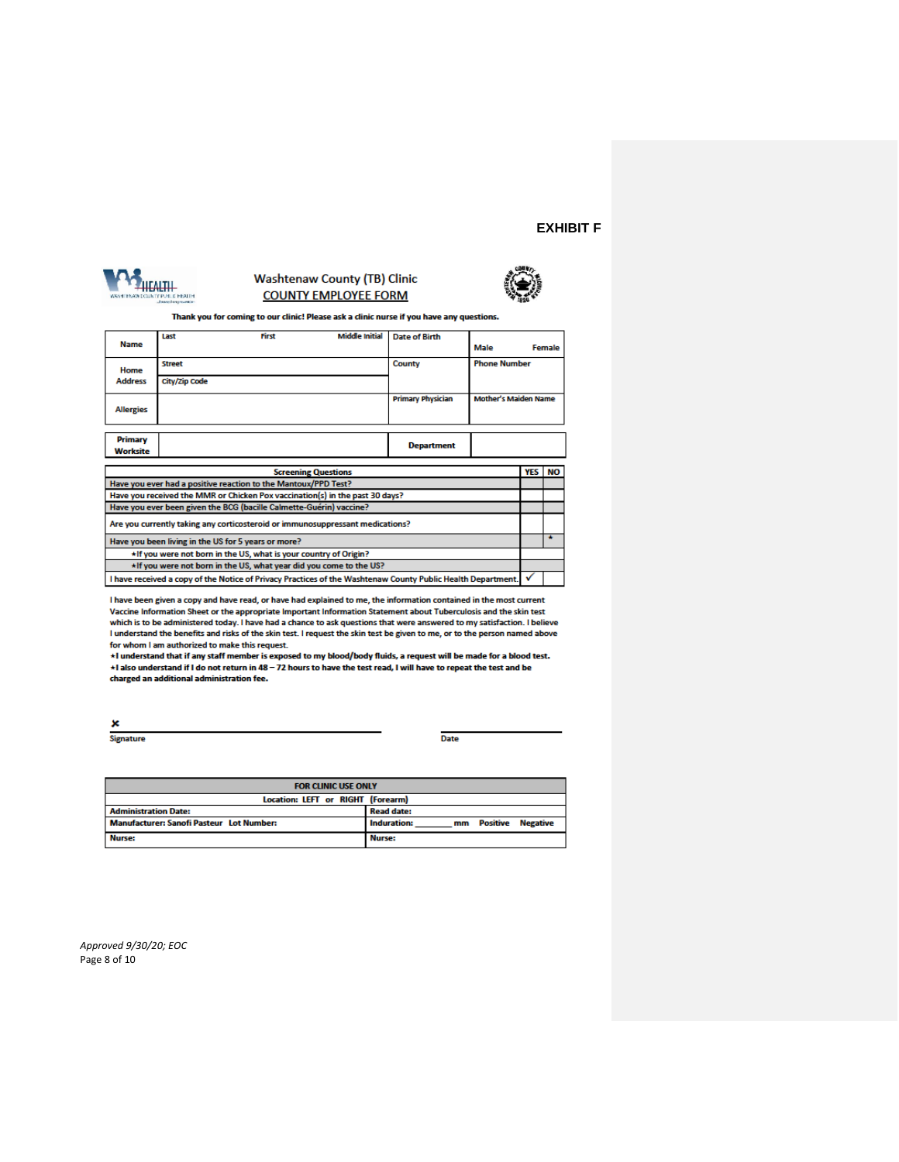## **EXHIBIT F**



**Washtenaw County (TB) Clinic COUNTY EMPLOYEE FORM** 



Thank you for coming to our clinic! Please ask a clinic nurse if you have any questions.

| <b>Name</b>      | Last          | First                                                                                                       | <b>Middle Initial</b> | <b>Date of Birth</b>     |                             |     |              |
|------------------|---------------|-------------------------------------------------------------------------------------------------------------|-----------------------|--------------------------|-----------------------------|-----|--------------|
|                  |               |                                                                                                             |                       |                          | Male                        |     | Female       |
| Home             | <b>Street</b> |                                                                                                             |                       | County                   | <b>Phone Number</b>         |     |              |
| <b>Address</b>   | City/Zip Code |                                                                                                             |                       |                          |                             |     |              |
|                  |               |                                                                                                             |                       |                          |                             |     |              |
|                  |               |                                                                                                             |                       | <b>Primary Physician</b> | <b>Mother's Maiden Name</b> |     |              |
| <b>Allergies</b> |               |                                                                                                             |                       |                          |                             |     |              |
|                  |               |                                                                                                             |                       |                          |                             |     |              |
| Primary          |               |                                                                                                             |                       | <b>Department</b>        |                             |     |              |
| Worksite         |               |                                                                                                             |                       |                          |                             |     |              |
|                  |               | <b>Screening Questions</b>                                                                                  |                       |                          |                             | YES | <b>NO</b>    |
|                  |               | Have you ever had a positive reaction to the Mantoux/PPD Test?                                              |                       |                          |                             |     |              |
|                  |               | Have you received the MMR or Chicken Pox vaccination(s) in the past 30 days?                                |                       |                          |                             |     |              |
|                  |               | Have you ever been given the BCG (bacille Calmette-Guérin) vaccine?                                         |                       |                          |                             |     |              |
|                  |               |                                                                                                             |                       |                          |                             |     |              |
|                  |               | Are you currently taking any corticosteroid or immunosuppressant medications?                               |                       |                          |                             |     |              |
|                  |               | Have you been living in the US for 5 years or more?                                                         |                       |                          |                             |     | $\leftarrow$ |
|                  |               | *If you were not born in the US, what is your country of Origin?                                            |                       |                          |                             |     |              |
|                  |               | *If you were not born in the US, what year did you come to the US?                                          |                       |                          |                             |     |              |
|                  |               | I have received a copy of the Notice of Privacy Practices of the Washtenaw County Public Health Department. |                       |                          |                             |     |              |

I have been given a copy and have read, or have had explained to me, the information contained in the most current Vaccine Information Sheet or the appropriate Important Information Statement about Tuberculosis and the skin test which is to be administered today. I have had a chance to ask questions that were answered to my satisfaction. I believe I understand the benefits and risks of the skin test. I request the skin test be given to me, or to the person named above for whom I am authorized to make this request.

or worm can use that if any staff member is exposed to my blood/body fluids, a request will be made for a blood test.<br>\*I also understand if I do not return in 48 – 72 hours to have the test read, I will have to repeat the charged an additional administration fee.

#### ×

Signature

Date

| <b>FOR CLINIC USE ONLY</b>                      |                                                                |  |  |  |
|-------------------------------------------------|----------------------------------------------------------------|--|--|--|
| Location: LEFT or RIGHT (Forearm)               |                                                                |  |  |  |
| <b>Administration Date:</b>                     | <b>Read date:</b>                                              |  |  |  |
| <b>Manufacturer: Sanofi Pasteur Lot Number:</b> | <b>Induration:</b><br><b>Positive</b><br><b>Negative</b><br>mm |  |  |  |
| <b>Nurse:</b>                                   | <b>Nurse:</b>                                                  |  |  |  |

*Approved 9/30/20; EOC* Page 8 of 10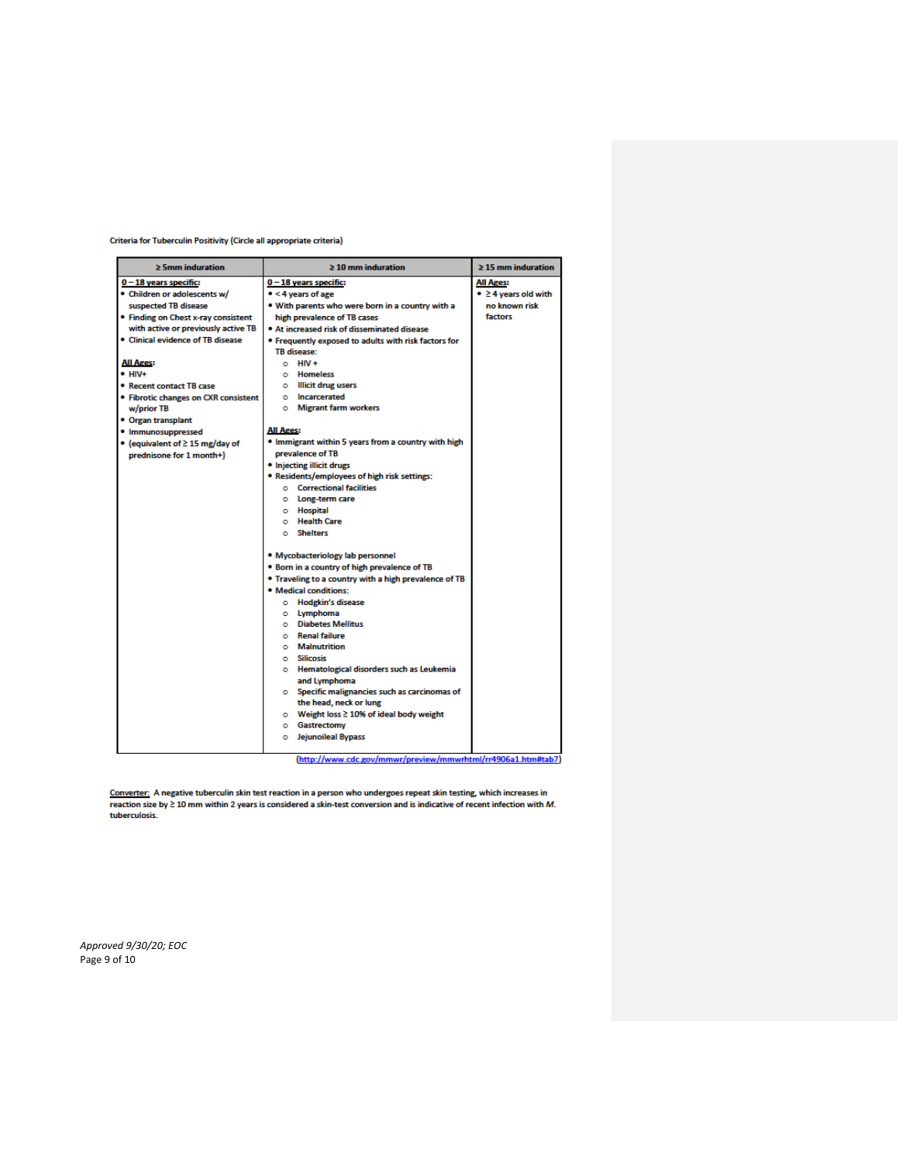Criteria for Tuberculin Positivity (Circle all appropriate criteria)

| ≥ 5mm induration                             | $\geq 10$ mm induration                                      | $\geq 15$ mm induration           |
|----------------------------------------------|--------------------------------------------------------------|-----------------------------------|
| $0 - 18$ years specific:                     | $0 - 18$ years specific:                                     | <b>All Ages:</b>                  |
| . Children or adolescents w/                 | $\bullet$ < 4 years of age                                   | $\bullet$ $\geq$ 4 years old with |
| suspected TB disease                         | . With parents who were born in a country with a             | no known risk                     |
| • Finding on Chest x-ray consistent          | high prevalence of TB cases                                  | factors                           |
| with active or previously active TB          | . At increased risk of disseminated disease                  |                                   |
| • Clinical evidence of TB disease            | . Frequently exposed to adults with risk factors for         |                                   |
|                                              | <b>TB</b> disease:                                           |                                   |
| <b>All Ages:</b>                             | $o$ HIV+                                                     |                                   |
| $\bullet$ HIV+                               | o Homeless                                                   |                                   |
| • Recent contact TB case                     | o Illicit drug users                                         |                                   |
| <b>• Fibrotic changes on CXR consistent</b>  | o Incarcerated                                               |                                   |
| w/prior TB                                   | o Migrant farm workers                                       |                                   |
| • Organ transplant                           |                                                              |                                   |
| · Immunosuppressed                           | <b>All Ages:</b>                                             |                                   |
| $\bullet$ (equivalent of $\geq$ 15 mg/day of | . Immigrant within 5 years from a country with high          |                                   |
| prednisone for 1 month+)                     | prevalence of TB                                             |                                   |
|                                              | · Injecting illicit drugs                                    |                                   |
|                                              | . Residents/employees of high risk settings:                 |                                   |
|                                              | <b>O</b> Correctional facilities                             |                                   |
|                                              | o Long-term care                                             |                                   |
|                                              | o Hospital                                                   |                                   |
|                                              | o Health Care                                                |                                   |
|                                              | o Shelters                                                   |                                   |
|                                              | . Mycobacteriology lab personnel                             |                                   |
|                                              | . Born in a country of high prevalence of TB                 |                                   |
|                                              | . Traveling to a country with a high prevalence of TB        |                                   |
|                                              | · Medical conditions:                                        |                                   |
|                                              | o Hodgkin's disease                                          |                                   |
|                                              | o Lymphoma                                                   |                                   |
|                                              | o Diabetes Mellitus                                          |                                   |
|                                              | o Renal failure                                              |                                   |
|                                              | o Malnutrition                                               |                                   |
|                                              | o Silicosis                                                  |                                   |
|                                              | o Hematological disorders such as Leukemia                   |                                   |
|                                              | and Lymphoma                                                 |                                   |
|                                              | o Specific malignancies such as carcinomas of                |                                   |
|                                              | the head, neck or lung                                       |                                   |
|                                              | $\circ$ Weight loss $\geq$ 10% of ideal body weight          |                                   |
|                                              | o Gastrectomy                                                |                                   |
|                                              | o Jejunoileal Bypass                                         |                                   |
|                                              | (http://www.cdc.gov/mmwr/preview/mmwrhtml/rr4906a1.htm#tab7) |                                   |

<u>Converter:</u> A negative tuberculin skin test reaction in a person who undergoes repeat skin testing, which increases in<br>reaction size by  $\geq 10$  mm within 2 years is considered a skin-test conversion and is indicative of

*Approved 9/30/20; EOC* Page 9 of 10